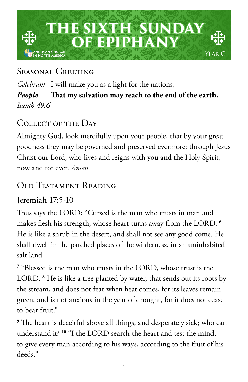

# Seasonal Greeting

*Celebrant* I will make you as a light for the nations, *People* **That my salvation may reach to the end of the earth.** *Isaiah 49:6*

# Collect of the Day

Almighty God, look mercifully upon your people, that by your great goodness they may be governed and preserved evermore; through Jesus Christ our Lord, who lives and reigns with you and the Holy Spirit, now and for ever. *Amen.*

# Old Testament Reading

Jeremiah 17:5-10

Thus says the LORD: "Cursed is the man who trusts in man and makes flesh his strength, whose heart turns away from the LORD. **<sup>6</sup>** He is like a shrub in the desert, and shall not see any good come. He shall dwell in the parched places of the wilderness, in an uninhabited salt land.

**7** "Blessed is the man who trusts in the LORD, whose trust is the LORD. **<sup>8</sup>** He is like a tree planted by water, that sends out its roots by the stream, and does not fear when heat comes, for its leaves remain green, and is not anxious in the year of drought, for it does not cease to bear fruit."

**9** The heart is deceitful above all things, and desperately sick; who can understand it? **<sup>10</sup>** "I the LORD search the heart and test the mind, to give every man according to his ways, according to the fruit of his deeds."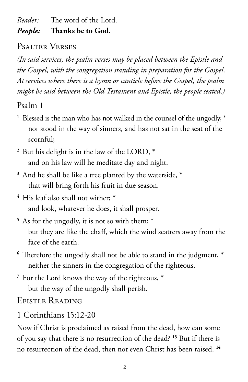*Reader:* The word of the Lord.

#### *People:* **Thanks be to God.**

## Psalter Verses

*(In said services, the psalm verses may be placed between the Epistle and the Gospel, with the congregation standing in preparation for the Gospel. At services where there is a hymn or canticle before the Gospel, the psalm might be said between the Old Testament and Epistle, the people seated.)*

Psalm 1

- <sup>1</sup> Blessed is the man who has not walked in the counsel of the ungodly,  $*$ nor stood in the way of sinners, and has not sat in the seat of the scornful;
- **<sup>2</sup>** But his delight is in the law of the LORD, \* and on his law will he meditate day and night.
- **<sup>3</sup>** And he shall be like a tree planted by the waterside, \* that will bring forth his fruit in due season.
- **<sup>4</sup>** His leaf also shall not wither; \* and look, whatever he does, it shall prosper.
- **<sup>5</sup>** As for the ungodly, it is not so with them; \* but they are like the chaff, which the wind scatters away from the face of the earth.
- **<sup>6</sup>** Therefore the ungodly shall not be able to stand in the judgment, \* neither the sinners in the congregation of the righteous.
- **<sup>7</sup>** For the Lord knows the way of the righteous, \* but the way of the ungodly shall perish.

Epistle Reading

1 Corinthians 15:12-20

Now if Christ is proclaimed as raised from the dead, how can some of you say that there is no resurrection of the dead? **<sup>13</sup>** But if there is no resurrection of the dead, then not even Christ has been raised. **14**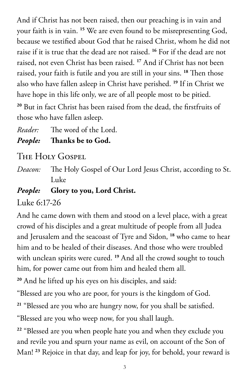And if Christ has not been raised, then our preaching is in vain and your faith is in vain. **<sup>15</sup>** We are even found to be misrepresenting God, because we testified about God that he raised Christ, whom he did not raise if it is true that the dead are not raised. **<sup>16</sup>** For if the dead are not raised, not even Christ has been raised. **<sup>17</sup>** And if Christ has not been raised, your faith is futile and you are still in your sins. **<sup>18</sup>** Then those also who have fallen asleep in Christ have perished. **<sup>19</sup>** If in Christ we have hope in this life only, we are of all people most to be pitied. **<sup>20</sup>** But in fact Christ has been raised from the dead, the firstfruits of

those who have fallen asleep.

*Reader:* The word of the Lord.

*People:* **Thanks be to God.** 

THE HOLY GOSPEL

*Deacon:* The Holy Gospel of Our Lord Jesus Christ, according to St. Luke

### *People:* **Glory to you, Lord Christ.**

Luke 6:17-26

And he came down with them and stood on a level place, with a great crowd of his disciples and a great multitude of people from all Judea and Jerusalem and the seacoast of Tyre and Sidon, **<sup>18</sup>** who came to hear him and to be healed of their diseases. And those who were troubled with unclean spirits were cured. **<sup>19</sup>** And all the crowd sought to touch him, for power came out from him and healed them all.

**<sup>20</sup>** And he lifted up his eyes on his disciples, and said:

"Blessed are you who are poor, for yours is the kingdom of God.

**<sup>21</sup>** "Blessed are you who are hungry now, for you shall be satisfied.

"Blessed are you who weep now, for you shall laugh.

**<sup>22</sup>** "Blessed are you when people hate you and when they exclude you and revile you and spurn your name as evil, on account of the Son of Man! **23** Rejoice in that day, and leap for joy, for behold, your reward is